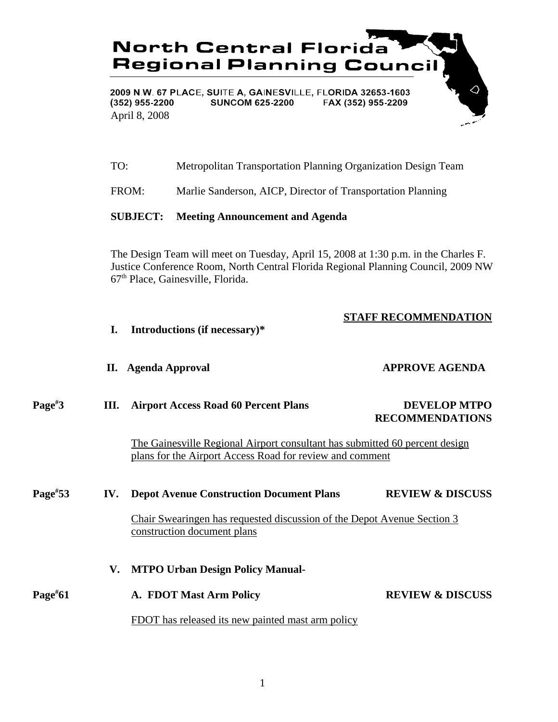

TO: Metropolitan Transportation Planning Organization Design Team

FROM: Marlie Sanderson, AICP, Director of Transportation Planning

## **SUBJECT: Meeting Announcement and Agenda**

The Design Team will meet on Tuesday, April 15, 2008 at 1:30 p.m. in the Charles F. Justice Conference Room, North Central Florida Regional Planning Council, 2009 NW 67th Place, Gainesville, Florida.

## **STAFF RECOMMENDATION**

- **I. Introductions (if necessary)\* II. Agenda Approval APPROVE AGENDA Page# 3 III. Airport Access Road 60 Percent Plans DEVELOP MTPO RECOMMENDATIONS** The Gainesville Regional Airport consultant has submitted 60 percent design plans for the Airport Access Road for review and comment **Page# 53 IV. Depot Avenue Construction Document Plans REVIEW & DISCUSS** Chair Swearingen has requested discussion of the Depot Avenue Section 3 construction document plans
- **V. MTPO Urban Design Policy Manual-Page# 61 A. FDOT Mast Arm Policy REVIEW & DISCUSS** FDOT has released its new painted mast arm policy